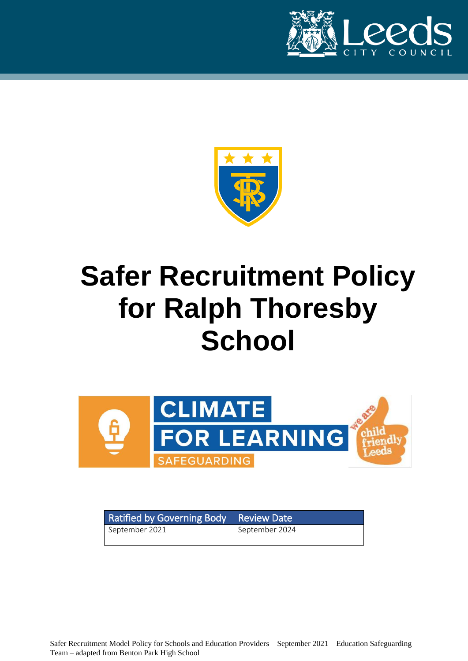



# **Safer Recruitment Policy for Ralph Thoresby School**



| Ratified by Governing Body Review Date |                |
|----------------------------------------|----------------|
| September 2021                         | September 2024 |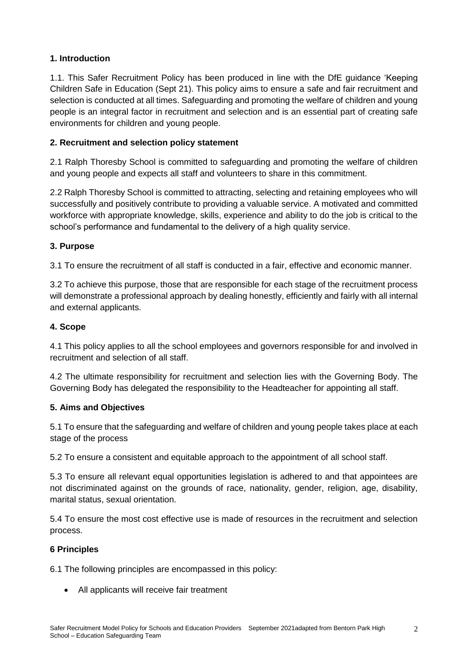# **1. Introduction**

1.1. This Safer Recruitment Policy has been produced in line with the DfE guidance 'Keeping Children Safe in Education (Sept 21). This policy aims to ensure a safe and fair recruitment and selection is conducted at all times. Safeguarding and promoting the welfare of children and young people is an integral factor in recruitment and selection and is an essential part of creating safe environments for children and young people.

### **2. Recruitment and selection policy statement**

2.1 Ralph Thoresby School is committed to safeguarding and promoting the welfare of children and young people and expects all staff and volunteers to share in this commitment.

2.2 Ralph Thoresby School is committed to attracting, selecting and retaining employees who will successfully and positively contribute to providing a valuable service. A motivated and committed workforce with appropriate knowledge, skills, experience and ability to do the job is critical to the school's performance and fundamental to the delivery of a high quality service.

# **3. Purpose**

3.1 To ensure the recruitment of all staff is conducted in a fair, effective and economic manner.

3.2 To achieve this purpose, those that are responsible for each stage of the recruitment process will demonstrate a professional approach by dealing honestly, efficiently and fairly with all internal and external applicants.

#### **4. Scope**

4.1 This policy applies to all the school employees and governors responsible for and involved in recruitment and selection of all staff.

4.2 The ultimate responsibility for recruitment and selection lies with the Governing Body. The Governing Body has delegated the responsibility to the Headteacher for appointing all staff.

#### **5. Aims and Objectives**

5.1 To ensure that the safeguarding and welfare of children and young people takes place at each stage of the process

5.2 To ensure a consistent and equitable approach to the appointment of all school staff.

5.3 To ensure all relevant equal opportunities legislation is adhered to and that appointees are not discriminated against on the grounds of race, nationality, gender, religion, age, disability, marital status, sexual orientation.

5.4 To ensure the most cost effective use is made of resources in the recruitment and selection process.

#### **6 Principles**

6.1 The following principles are encompassed in this policy:

All applicants will receive fair treatment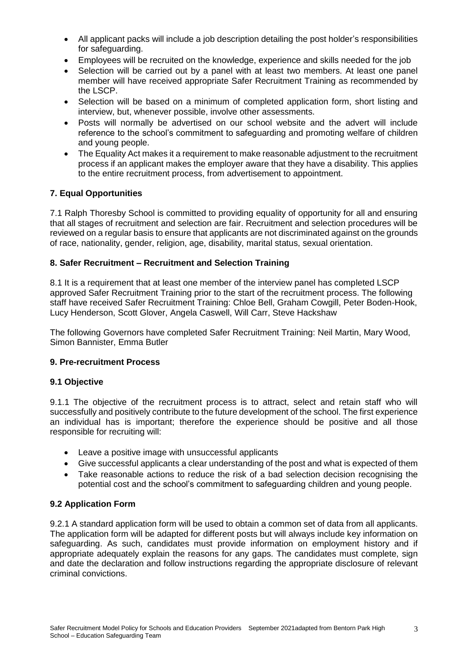- All applicant packs will include a job description detailing the post holder's responsibilities for safeguarding.
- Employees will be recruited on the knowledge, experience and skills needed for the job
- Selection will be carried out by a panel with at least two members. At least one panel member will have received appropriate Safer Recruitment Training as recommended by the LSCP.
- Selection will be based on a minimum of completed application form, short listing and interview, but, whenever possible, involve other assessments.
- Posts will normally be advertised on our school website and the advert will include reference to the school's commitment to safeguarding and promoting welfare of children and young people.
- The Equality Act makes it a requirement to make reasonable adjustment to the recruitment process if an applicant makes the employer aware that they have a disability. This applies to the entire recruitment process, from advertisement to appointment.

#### **7. Equal Opportunities**

7.1 Ralph Thoresby School is committed to providing equality of opportunity for all and ensuring that all stages of recruitment and selection are fair. Recruitment and selection procedures will be reviewed on a regular basis to ensure that applicants are not discriminated against on the grounds of race, nationality, gender, religion, age, disability, marital status, sexual orientation.

#### **8. Safer Recruitment – Recruitment and Selection Training**

8.1 It is a requirement that at least one member of the interview panel has completed LSCP approved Safer Recruitment Training prior to the start of the recruitment process. The following staff have received Safer Recruitment Training: Chloe Bell, Graham Cowgill, Peter Boden-Hook, Lucy Henderson, Scott Glover, Angela Caswell, Will Carr, Steve Hackshaw

The following Governors have completed Safer Recruitment Training: Neil Martin, Mary Wood, Simon Bannister, Emma Butler

#### **9. Pre-recruitment Process**

#### **9.1 Objective**

9.1.1 The objective of the recruitment process is to attract, select and retain staff who will successfully and positively contribute to the future development of the school. The first experience an individual has is important; therefore the experience should be positive and all those responsible for recruiting will:

- Leave a positive image with unsuccessful applicants
- Give successful applicants a clear understanding of the post and what is expected of them
- Take reasonable actions to reduce the risk of a bad selection decision recognising the potential cost and the school's commitment to safeguarding children and young people.

#### **9.2 Application Form**

9.2.1 A standard application form will be used to obtain a common set of data from all applicants. The application form will be adapted for different posts but will always include key information on safeguarding. As such, candidates must provide information on employment history and if appropriate adequately explain the reasons for any gaps. The candidates must complete, sign and date the declaration and follow instructions regarding the appropriate disclosure of relevant criminal convictions.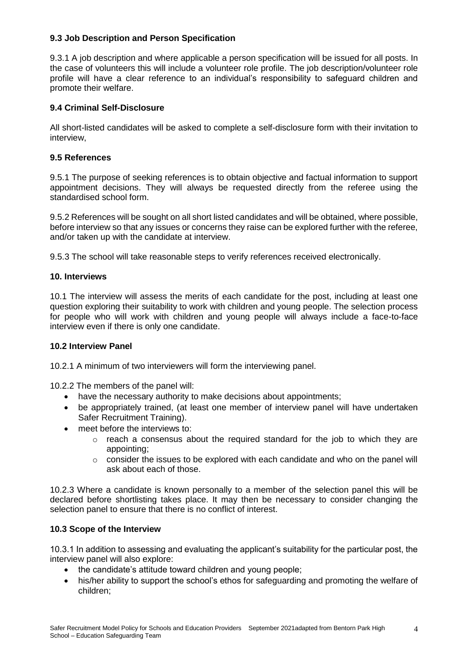#### **9.3 Job Description and Person Specification**

9.3.1 A job description and where applicable a person specification will be issued for all posts. In the case of volunteers this will include a volunteer role profile. The job description/volunteer role profile will have a clear reference to an individual's responsibility to safeguard children and promote their welfare.

#### **9.4 Criminal Self-Disclosure**

All short-listed candidates will be asked to complete a self-disclosure form with their invitation to interview,

#### **9.5 References**

9.5.1 The purpose of seeking references is to obtain objective and factual information to support appointment decisions. They will always be requested directly from the referee using the standardised school form.

9.5.2 References will be sought on all short listed candidates and will be obtained, where possible, before interview so that any issues or concerns they raise can be explored further with the referee, and/or taken up with the candidate at interview.

9.5.3 The school will take reasonable steps to verify references received electronically.

#### **10. Interviews**

10.1 The interview will assess the merits of each candidate for the post, including at least one question exploring their suitability to work with children and young people. The selection process for people who will work with children and young people will always include a face-to-face interview even if there is only one candidate.

#### **10.2 Interview Panel**

10.2.1 A minimum of two interviewers will form the interviewing panel.

10.2.2 The members of the panel will:

- have the necessary authority to make decisions about appointments;
- be appropriately trained, (at least one member of interview panel will have undertaken Safer Recruitment Training).
- meet before the interviews to:
	- o reach a consensus about the required standard for the job to which they are appointing;
	- $\circ$  consider the issues to be explored with each candidate and who on the panel will ask about each of those.

10.2.3 Where a candidate is known personally to a member of the selection panel this will be declared before shortlisting takes place. It may then be necessary to consider changing the selection panel to ensure that there is no conflict of interest.

#### **10.3 Scope of the Interview**

10.3.1 In addition to assessing and evaluating the applicant's suitability for the particular post, the interview panel will also explore:

- the candidate's attitude toward children and young people;
- his/her ability to support the school's ethos for safeguarding and promoting the welfare of children;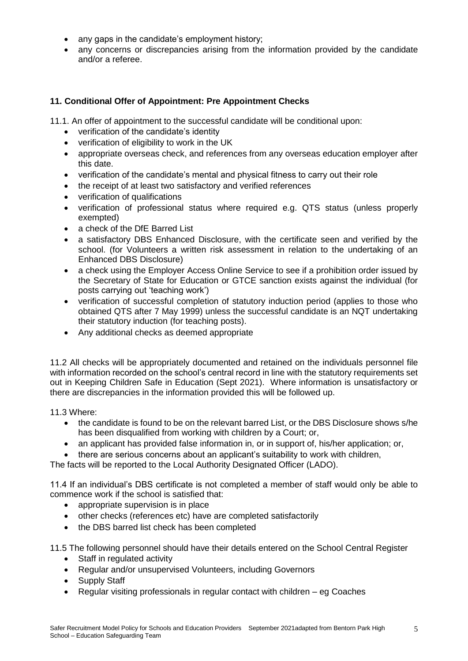- any gaps in the candidate's employment history;
- any concerns or discrepancies arising from the information provided by the candidate and/or a referee.

#### **11. Conditional Offer of Appointment: Pre Appointment Checks**

11.1. An offer of appointment to the successful candidate will be conditional upon:

- verification of the candidate's identity
- verification of eligibility to work in the UK
- appropriate overseas check, and references from any overseas education employer after this date.
- verification of the candidate's mental and physical fitness to carry out their role
- the receipt of at least two satisfactory and verified references
- verification of qualifications
- verification of professional status where required e.g. QTS status (unless properly exempted)
- a check of the DfE Barred List
- a satisfactory DBS Enhanced Disclosure, with the certificate seen and verified by the school. (for Volunteers a written risk assessment in relation to the undertaking of an Enhanced DBS Disclosure)
- a check using the Employer Access Online Service to see if a prohibition order issued by the Secretary of State for Education or GTCE sanction exists against the individual (for posts carrying out 'teaching work')
- verification of successful completion of statutory induction period (applies to those who obtained QTS after 7 May 1999) unless the successful candidate is an NQT undertaking their statutory induction (for teaching posts).
- Any additional checks as deemed appropriate

11.2 All checks will be appropriately documented and retained on the individuals personnel file with information recorded on the school's central record in line with the statutory requirements set out in Keeping Children Safe in Education (Sept 2021). Where information is unsatisfactory or there are discrepancies in the information provided this will be followed up.

11.3 Where:

- the candidate is found to be on the relevant barred List, or the DBS Disclosure shows s/he has been disqualified from working with children by a Court; or,
- an applicant has provided false information in, or in support of, his/her application; or,
- there are serious concerns about an applicant's suitability to work with children,

The facts will be reported to the Local Authority Designated Officer (LADO).

11.4 If an individual's DBS certificate is not completed a member of staff would only be able to commence work if the school is satisfied that:

- appropriate supervision is in place
- other checks (references etc) have are completed satisfactorily
- the DBS barred list check has been completed

11.5 The following personnel should have their details entered on the School Central Register

- Staff in regulated activity
- Regular and/or unsupervised Volunteers, including Governors
- Supply Staff
- Regular visiting professionals in regular contact with children eg Coaches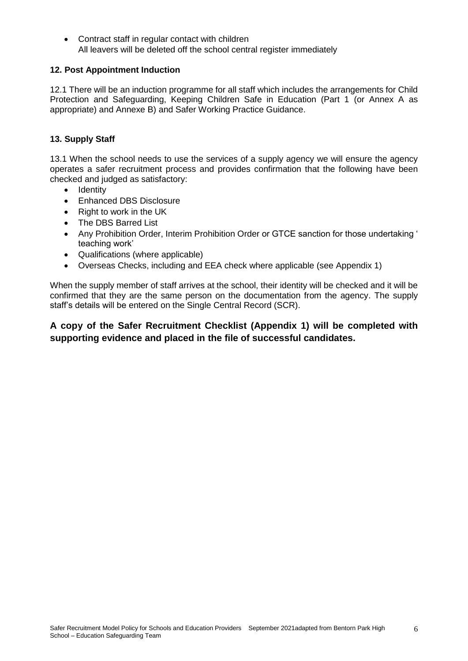Contract staff in regular contact with children All leavers will be deleted off the school central register immediately

#### **12. Post Appointment Induction**

12.1 There will be an induction programme for all staff which includes the arrangements for Child Protection and Safeguarding, Keeping Children Safe in Education (Part 1 (or Annex A as appropriate) and Annexe B) and Safer Working Practice Guidance.

#### **13. Supply Staff**

13.1 When the school needs to use the services of a supply agency we will ensure the agency operates a safer recruitment process and provides confirmation that the following have been checked and judged as satisfactory:

- Identity
- Enhanced DBS Disclosure
- Right to work in the UK
- The DBS Barred List
- Any Prohibition Order, Interim Prohibition Order or GTCE sanction for those undertaking ' teaching work'
- Qualifications (where applicable)
- Overseas Checks, including and EEA check where applicable (see Appendix 1)

When the supply member of staff arrives at the school, their identity will be checked and it will be confirmed that they are the same person on the documentation from the agency. The supply staff's details will be entered on the Single Central Record (SCR).

# **A copy of the Safer Recruitment Checklist (Appendix 1) will be completed with supporting evidence and placed in the file of successful candidates.**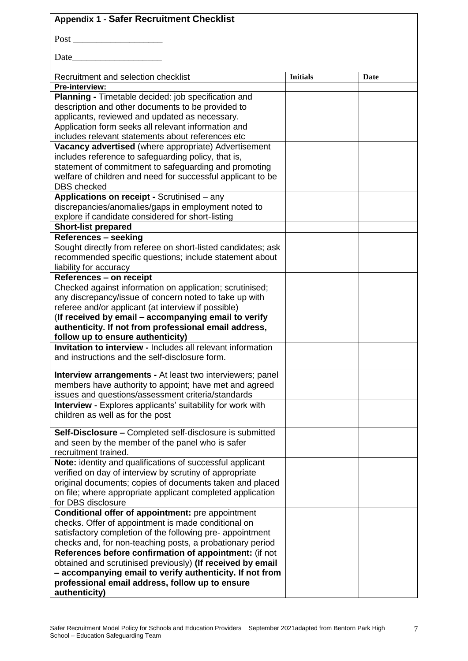# **Appendix 1 - Safer Recruitment Checklist** Post \_\_\_\_\_\_\_\_\_\_\_\_\_\_\_\_\_\_\_ Date  $\Box$

| Recruitment and selection checklist                                                                         | <b>Initials</b> | Date |
|-------------------------------------------------------------------------------------------------------------|-----------------|------|
| Pre-interview:                                                                                              |                 |      |
| Planning - Timetable decided: job specification and                                                         |                 |      |
| description and other documents to be provided to                                                           |                 |      |
| applicants, reviewed and updated as necessary.                                                              |                 |      |
| Application form seeks all relevant information and                                                         |                 |      |
| includes relevant statements about references etc                                                           |                 |      |
| Vacancy advertised (where appropriate) Advertisement                                                        |                 |      |
| includes reference to safeguarding policy, that is,                                                         |                 |      |
| statement of commitment to safeguarding and promoting                                                       |                 |      |
| welfare of children and need for successful applicant to be                                                 |                 |      |
| <b>DBS</b> checked                                                                                          |                 |      |
| Applications on receipt - Scrutinised - any                                                                 |                 |      |
| discrepancies/anomalies/gaps in employment noted to                                                         |                 |      |
| explore if candidate considered for short-listing                                                           |                 |      |
| <b>Short-list prepared</b>                                                                                  |                 |      |
| References - seeking                                                                                        |                 |      |
| Sought directly from referee on short-listed candidates; ask                                                |                 |      |
| recommended specific questions; include statement about                                                     |                 |      |
| liability for accuracy                                                                                      |                 |      |
| <b>References - on receipt</b>                                                                              |                 |      |
| Checked against information on application; scrutinised;                                                    |                 |      |
| any discrepancy/issue of concern noted to take up with                                                      |                 |      |
| referee and/or applicant (at interview if possible)                                                         |                 |      |
| (If received by email - accompanying email to verify                                                        |                 |      |
| authenticity. If not from professional email address,<br>follow up to ensure authenticity)                  |                 |      |
| <b>Invitation to interview - Includes all relevant information</b>                                          |                 |      |
| and instructions and the self-disclosure form.                                                              |                 |      |
|                                                                                                             |                 |      |
| Interview arrangements - At least two interviewers; panel                                                   |                 |      |
| members have authority to appoint; have met and agreed                                                      |                 |      |
| issues and questions/assessment criteria/standards                                                          |                 |      |
| <b>Interview - Explores applicants' suitability for work with</b>                                           |                 |      |
| children as well as for the post                                                                            |                 |      |
|                                                                                                             |                 |      |
| Self-Disclosure - Completed self-disclosure is submitted                                                    |                 |      |
| and seen by the member of the panel who is safer                                                            |                 |      |
| recruitment trained.                                                                                        |                 |      |
| Note: identity and qualifications of successful applicant                                                   |                 |      |
| verified on day of interview by scrutiny of appropriate                                                     |                 |      |
| original documents; copies of documents taken and placed                                                    |                 |      |
| on file; where appropriate applicant completed application                                                  |                 |      |
| for DBS disclosure                                                                                          |                 |      |
| Conditional offer of appointment: pre appointment                                                           |                 |      |
| checks. Offer of appointment is made conditional on                                                         |                 |      |
| satisfactory completion of the following pre- appointment                                                   |                 |      |
| checks and, for non-teaching posts, a probationary period                                                   |                 |      |
| References before confirmation of appointment: (if not                                                      |                 |      |
| obtained and scrutinised previously) (If received by email                                                  |                 |      |
| - accompanying email to verify authenticity. If not from<br>professional email address, follow up to ensure |                 |      |
| authenticity)                                                                                               |                 |      |
|                                                                                                             |                 |      |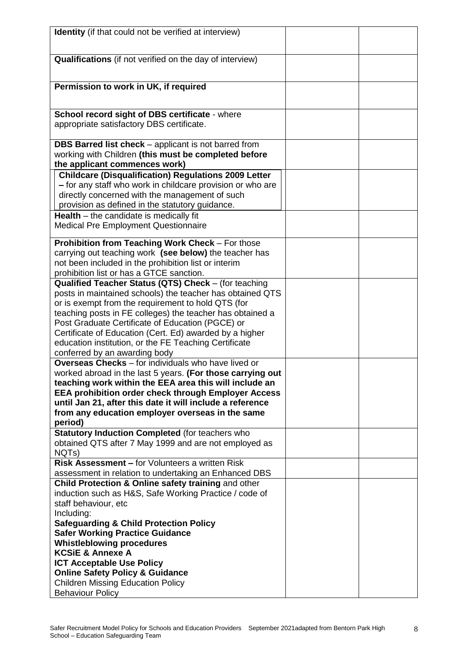| Identity (if that could not be verified at interview)                                                                                                                                                                                                                                                                                                                                                                                         |  |
|-----------------------------------------------------------------------------------------------------------------------------------------------------------------------------------------------------------------------------------------------------------------------------------------------------------------------------------------------------------------------------------------------------------------------------------------------|--|
| <b>Qualifications</b> (if not verified on the day of interview)                                                                                                                                                                                                                                                                                                                                                                               |  |
| Permission to work in UK, if required                                                                                                                                                                                                                                                                                                                                                                                                         |  |
| School record sight of DBS certificate - where<br>appropriate satisfactory DBS certificate.                                                                                                                                                                                                                                                                                                                                                   |  |
| <b>DBS Barred list check</b> – applicant is not barred from<br>working with Children (this must be completed before<br>the applicant commences work)                                                                                                                                                                                                                                                                                          |  |
| <b>Childcare (Disqualification) Regulations 2009 Letter</b><br>- for any staff who work in childcare provision or who are<br>directly concerned with the management of such<br>provision as defined in the statutory guidance.                                                                                                                                                                                                                |  |
| <b>Health</b> $-$ the candidate is medically fit<br><b>Medical Pre Employment Questionnaire</b>                                                                                                                                                                                                                                                                                                                                               |  |
| Prohibition from Teaching Work Check - For those<br>carrying out teaching work (see below) the teacher has<br>not been included in the prohibition list or interim<br>prohibition list or has a GTCE sanction.                                                                                                                                                                                                                                |  |
| Qualified Teacher Status (QTS) Check - (for teaching<br>posts in maintained schools) the teacher has obtained QTS<br>or is exempt from the requirement to hold QTS (for<br>teaching posts in FE colleges) the teacher has obtained a<br>Post Graduate Certificate of Education (PGCE) or<br>Certificate of Education (Cert. Ed) awarded by a higher<br>education institution, or the FE Teaching Certificate<br>conferred by an awarding body |  |
| <b>Overseas Checks</b> - for individuals who have lived or<br>worked abroad in the last 5 years. (For those carrying out<br>teaching work within the EEA area this will include an<br><b>EEA prohibition order check through Employer Access</b><br>until Jan 21, after this date it will include a reference<br>from any education employer overseas in the same<br>period)                                                                  |  |
| Statutory Induction Completed (for teachers who<br>obtained QTS after 7 May 1999 and are not employed as<br>NQTs)                                                                                                                                                                                                                                                                                                                             |  |
| <b>Risk Assessment – for Volunteers a written Risk</b><br>assessment in relation to undertaking an Enhanced DBS                                                                                                                                                                                                                                                                                                                               |  |
| Child Protection & Online safety training and other<br>induction such as H&S, Safe Working Practice / code of<br>staff behaviour, etc<br>Including:                                                                                                                                                                                                                                                                                           |  |
| <b>Safeguarding &amp; Child Protection Policy</b><br><b>Safer Working Practice Guidance</b><br><b>Whistleblowing procedures</b><br><b>KCSiE &amp; Annexe A</b><br><b>ICT Acceptable Use Policy</b><br><b>Online Safety Policy &amp; Guidance</b><br><b>Children Missing Education Policy</b>                                                                                                                                                  |  |
| <b>Behaviour Policy</b>                                                                                                                                                                                                                                                                                                                                                                                                                       |  |